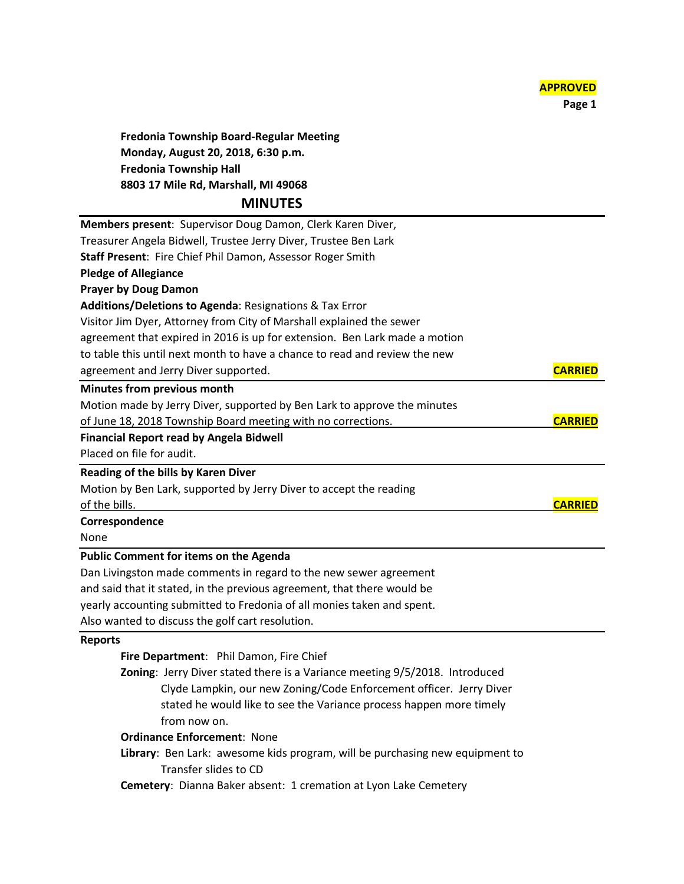**APPROVED**

 **Page 1**

**Fredonia Township Board-Regular Meeting Monday, August 20, 2018, 6:30 p.m. Fredonia Township Hall 8803 17 Mile Rd, Marshall, MI 49068 MINUTES**

| Members present: Supervisor Doug Damon, Clerk Karen Diver,                 |                |
|----------------------------------------------------------------------------|----------------|
| Treasurer Angela Bidwell, Trustee Jerry Diver, Trustee Ben Lark            |                |
| Staff Present: Fire Chief Phil Damon, Assessor Roger Smith                 |                |
| <b>Pledge of Allegiance</b>                                                |                |
| <b>Prayer by Doug Damon</b>                                                |                |
| Additions/Deletions to Agenda: Resignations & Tax Error                    |                |
| Visitor Jim Dyer, Attorney from City of Marshall explained the sewer       |                |
| agreement that expired in 2016 is up for extension. Ben Lark made a motion |                |
| to table this until next month to have a chance to read and review the new |                |
| agreement and Jerry Diver supported.                                       | <b>CARRIED</b> |
| <b>Minutes from previous month</b>                                         |                |
| Motion made by Jerry Diver, supported by Ben Lark to approve the minutes   |                |
| of June 18, 2018 Township Board meeting with no corrections.               | <b>CARRIED</b> |
| <b>Financial Report read by Angela Bidwell</b>                             |                |
| Placed on file for audit.                                                  |                |
| Reading of the bills by Karen Diver                                        |                |

Motion by Ben Lark, supported by Jerry Diver to accept the reading of the bills. **CARRIED**

# **Correspondence**

None

## **Public Comment for items on the Agenda**

Dan Livingston made comments in regard to the new sewer agreement and said that it stated, in the previous agreement, that there would be yearly accounting submitted to Fredonia of all monies taken and spent. Also wanted to discuss the golf cart resolution.

#### **Reports**

**Fire Department**: Phil Damon, Fire Chief **Zoning**: Jerry Diver stated there is a Variance meeting 9/5/2018. Introduced Clyde Lampkin, our new Zoning/Code Enforcement officer. Jerry Diver stated he would like to see the Variance process happen more timely

from now on.

**Ordinance Enforcement**: None

**Library**: Ben Lark: awesome kids program, will be purchasing new equipment to Transfer slides to CD

**Cemetery**: Dianna Baker absent: 1 cremation at Lyon Lake Cemetery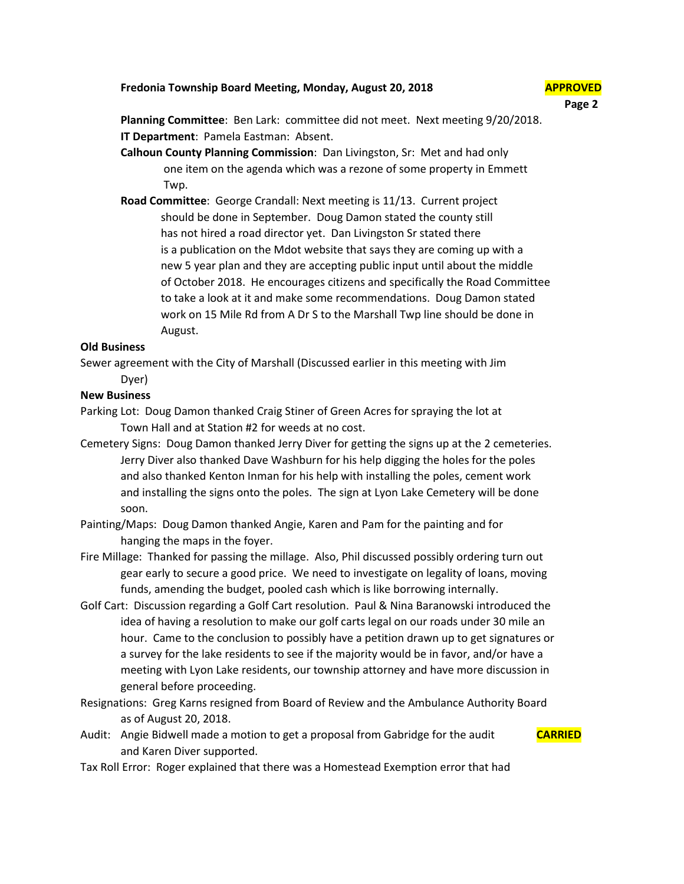# **Fredonia Township Board Meeting, Monday, August 20, 2018 APPROVED**

 **Page 2**

**Planning Committee**: Ben Lark: committee did not meet. Next meeting 9/20/2018. **IT Department**: Pamela Eastman: Absent.

- **Calhoun County Planning Commission**: Dan Livingston, Sr: Met and had only one item on the agenda which was a rezone of some property in Emmett Twp.
- **Road Committee**: George Crandall: Next meeting is 11/13. Current project should be done in September. Doug Damon stated the county still has not hired a road director yet. Dan Livingston Sr stated there is a publication on the Mdot website that says they are coming up with a new 5 year plan and they are accepting public input until about the middle of October 2018. He encourages citizens and specifically the Road Committee to take a look at it and make some recommendations. Doug Damon stated work on 15 Mile Rd from A Dr S to the Marshall Twp line should be done in August.

## **Old Business**

Sewer agreement with the City of Marshall (Discussed earlier in this meeting with Jim Dyer)

## **New Business**

- Parking Lot: Doug Damon thanked Craig Stiner of Green Acres for spraying the lot at Town Hall and at Station #2 for weeds at no cost.
- Cemetery Signs: Doug Damon thanked Jerry Diver for getting the signs up at the 2 cemeteries. Jerry Diver also thanked Dave Washburn for his help digging the holes for the poles and also thanked Kenton Inman for his help with installing the poles, cement work and installing the signs onto the poles. The sign at Lyon Lake Cemetery will be done soon.
- Painting/Maps: Doug Damon thanked Angie, Karen and Pam for the painting and for hanging the maps in the foyer.
- Fire Millage: Thanked for passing the millage. Also, Phil discussed possibly ordering turn out gear early to secure a good price. We need to investigate on legality of loans, moving funds, amending the budget, pooled cash which is like borrowing internally.
- Golf Cart: Discussion regarding a Golf Cart resolution. Paul & Nina Baranowski introduced the idea of having a resolution to make our golf carts legal on our roads under 30 mile an hour. Came to the conclusion to possibly have a petition drawn up to get signatures or a survey for the lake residents to see if the majority would be in favor, and/or have a meeting with Lyon Lake residents, our township attorney and have more discussion in general before proceeding.
- Resignations: Greg Karns resigned from Board of Review and the Ambulance Authority Board as of August 20, 2018.
- Audit: Angie Bidwell made a motion to get a proposal from Gabridge for the audit **CARRIED** and Karen Diver supported.



Tax Roll Error: Roger explained that there was a Homestead Exemption error that had